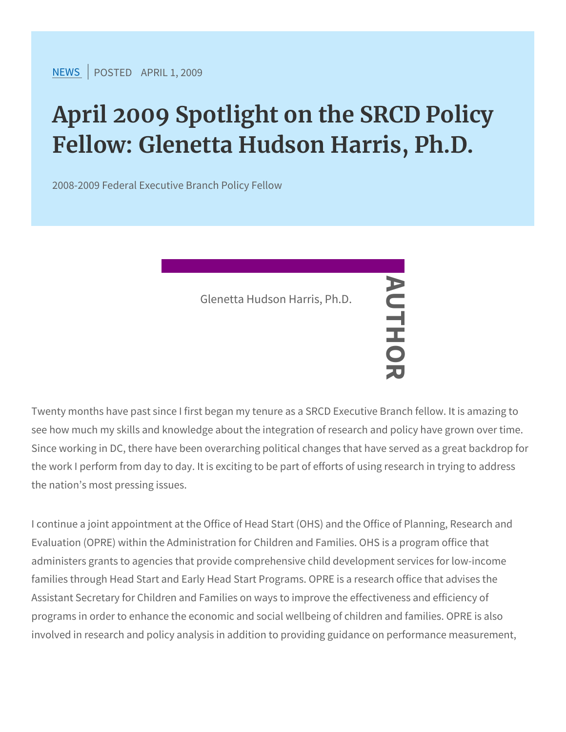[NEW](https://www.srcd.org/news)SPOSTEADPRIL 1, 2009

## April 2009 Spotlight on the SRC Fellow: Glenetta Hudson Harris,

2008-2009 Federal Executive Branch Policy Fellow

Twenty months have past since I first began my tenure as a SRCD E see how much my skills and knowledge about the integration of research and policy have grown of the search and Since working in DC, there have been overarching political changes the work I perform from day to day. It is exciting to be part of effor the nation s most pressing issues. Glenetta Hudson Harris, Ph.D. AUTHOR

I continue a joint appointment at the Office of Head Start (OHS) an Evaluation (OPRE) within the Administration for Children and Famil administers grants to agencies that provide comprehensive child de families through Head Start and Early Head Start Programs. OPRE is Assistant Secretary for Children and Families on ways to improve t programs in order to enhance the economic and social wellbeing of involved in research and policy analysis in addition to providing gu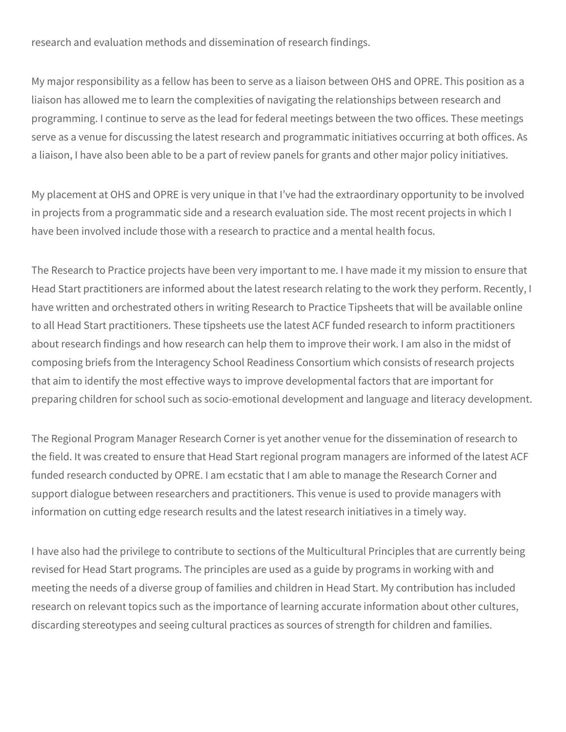research and evaluation methods and dissemination of research findings.

My major responsibility as a fellow has been to serve as a liaison between OHS and OPRE. This position as a liaison has allowed me to learn the complexities of navigating the relationships between research and programming. I continue to serve as the lead for federal meetings between the two offices. These meetings serve as a venue for discussing the latest research and programmatic initiatives occurring at both offices. As a liaison, I have also been able to be a part of review panels for grants and other major policy initiatives.

My placement at OHS and OPRE is very unique in that I've had the extraordinary opportunity to be involved in projects from a programmatic side and a research evaluation side. The most recent projects in which I have been involved include those with a research to practice and a mental health focus.

The Research to Practice projects have been very important to me. I have made it my mission to ensure that Head Start practitioners are informed about the latest research relating to the work they perform. Recently, I have written and orchestrated others in writing Research to Practice Tipsheets that will be available online to all Head Start practitioners. These tipsheets use the latest ACF funded research to inform practitioners about research findings and how research can help them to improve their work. I am also in the midst of composing briefs from the Interagency School Readiness Consortium which consists of research projects that aim to identify the most effective ways to improve developmental factors that are important for preparing children for school such as socio-emotional development and language and literacy development.

The Regional Program Manager Research Corner is yet another venue for the dissemination of research to the field. It was created to ensure that Head Start regional program managers are informed of the latest ACF funded research conducted by OPRE. I am ecstatic that I am able to manage the Research Corner and support dialogue between researchers and practitioners. This venue is used to provide managers with information on cutting edge research results and the latest research initiatives in a timely way.

I have also had the privilege to contribute to sections of the Multicultural Principles that are currently being revised for Head Start programs. The principles are used as a guide by programs in working with and meeting the needs of a diverse group of families and children in Head Start. My contribution has included research on relevant topics such as the importance of learning accurate information about other cultures, discarding stereotypes and seeing cultural practices as sources of strength for children and families.